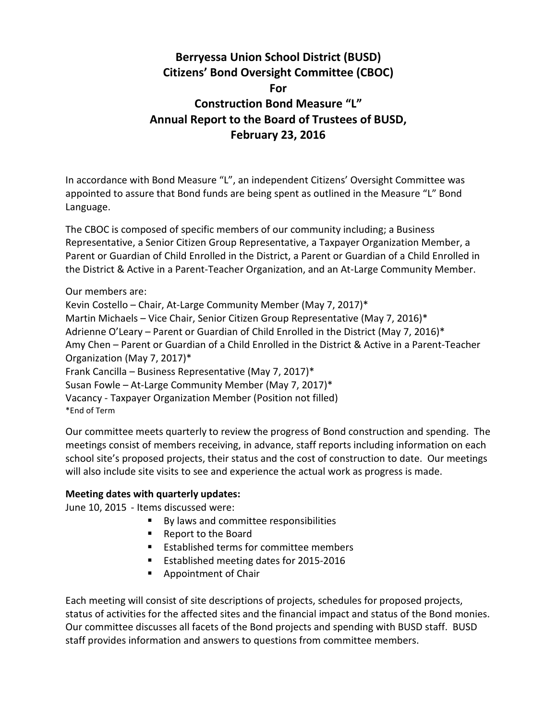## **Berryessa Union School District (BUSD) Citizens' Bond Oversight Committee (CBOC) For Construction Bond Measure "L" Annual Report to the Board of Trustees of BUSD, February 23, 2016**

In accordance with Bond Measure "L", an independent Citizens' Oversight Committee was appointed to assure that Bond funds are being spent as outlined in the Measure "L" Bond Language.

The CBOC is composed of specific members of our community including; a Business Representative, a Senior Citizen Group Representative, a Taxpayer Organization Member, a Parent or Guardian of Child Enrolled in the District, a Parent or Guardian of a Child Enrolled in the District & Active in a Parent-Teacher Organization, and an At-Large Community Member.

Our members are: Kevin Costello – Chair, At-Large Community Member (May 7, 2017)\* Martin Michaels – Vice Chair, Senior Citizen Group Representative (May 7, 2016)\* Adrienne O'Leary – Parent or Guardian of Child Enrolled in the District (May 7, 2016)\* Amy Chen – Parent or Guardian of a Child Enrolled in the District & Active in a Parent-Teacher Organization (May 7, 2017)\* Frank Cancilla – Business Representative (May 7, 2017)\* Susan Fowle – At-Large Community Member (May 7, 2017)\* Vacancy - Taxpayer Organization Member (Position not filled) \*End of Term

Our committee meets quarterly to review the progress of Bond construction and spending. The meetings consist of members receiving, in advance, staff reports including information on each school site's proposed projects, their status and the cost of construction to date. Our meetings will also include site visits to see and experience the actual work as progress is made.

## **Meeting dates with quarterly updates:**

June 10, 2015 - Items discussed were:

- By laws and committee responsibilities
- Report to the Board
- **Established terms for committee members**
- Established meeting dates for 2015-2016
- **Appointment of Chair**

Each meeting will consist of site descriptions of projects, schedules for proposed projects, status of activities for the affected sites and the financial impact and status of the Bond monies. Our committee discusses all facets of the Bond projects and spending with BUSD staff. BUSD staff provides information and answers to questions from committee members.